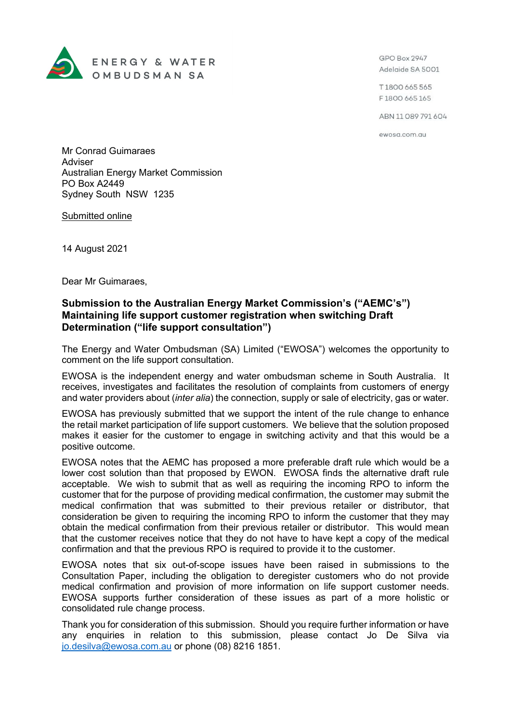

GPO Box 2947 Adelaide SA 5001

T1800 665 565 F1800 665 165

ABN 11 089 791 604

ewosa.com.au

Mr Conrad Guimaraes Adviser Australian Energy Market Commission PO Box A2449 Sydney South NSW 1235

Submitted online

14 August 2021

Dear Mr Guimaraes,

## **Submission to the Australian Energy Market Commission's ("AEMC's") Maintaining life support customer registration when switching Draft Determination ("life support consultation")**

The Energy and Water Ombudsman (SA) Limited ("EWOSA") welcomes the opportunity to comment on the life support consultation.

EWOSA is the independent energy and water ombudsman scheme in South Australia. It receives, investigates and facilitates the resolution of complaints from customers of energy and water providers about (*inter alia*) the connection, supply or sale of electricity, gas or water.

EWOSA has previously submitted that we support the intent of the rule change to enhance the retail market participation of life support customers. We believe that the solution proposed makes it easier for the customer to engage in switching activity and that this would be a positive outcome.

EWOSA notes that the AEMC has proposed a more preferable draft rule which would be a lower cost solution than that proposed by EWON. EWOSA finds the alternative draft rule acceptable. We wish to submit that as well as requiring the incoming RPO to inform the customer that for the purpose of providing medical confirmation, the customer may submit the medical confirmation that was submitted to their previous retailer or distributor, that consideration be given to requiring the incoming RPO to inform the customer that they may obtain the medical confirmation from their previous retailer or distributor. This would mean that the customer receives notice that they do not have to have kept a copy of the medical confirmation and that the previous RPO is required to provide it to the customer.

EWOSA notes that six out-of-scope issues have been raised in submissions to the Consultation Paper, including the obligation to deregister customers who do not provide medical confirmation and provision of more information on life support customer needs. EWOSA supports further consideration of these issues as part of a more holistic or consolidated rule change process.

Thank you for consideration of this submission. Should you require further information or have any enquiries in relation to this submission, please contact Jo De Silva via [jo.desilva@ewosa.com.au](mailto:jo.desilva@ewosa.com.au) or phone (08) 8216 1851.